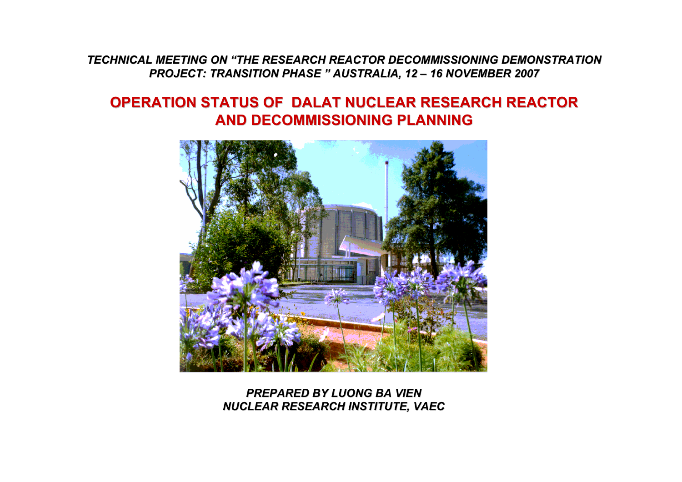*TECHNICAL MEETING ON "THE RESEARCH REACTOR DECOMMISSIONING DEMONSTRATION REACTOR DEMONSTRATION PROJECT: TRANSITION PHASE " AUSTRALIA, AUSTRALIA,12 – 16 NOVEMBER 2007*

#### **Nuclear Research Institute OPERATION STATUS OF DALAT NUCLEAR RESEARCH REACTOR OPERATION STATUS OF DALAT NUCLEAR RESEARCH REACTORAND DECOMMISSIONING PLANNING AND DECOMMISSIONING PLANNING**



*PREPARED BY LUONG BA VIENNUCLEAR RESEARCH INSTITUTE, VAEC*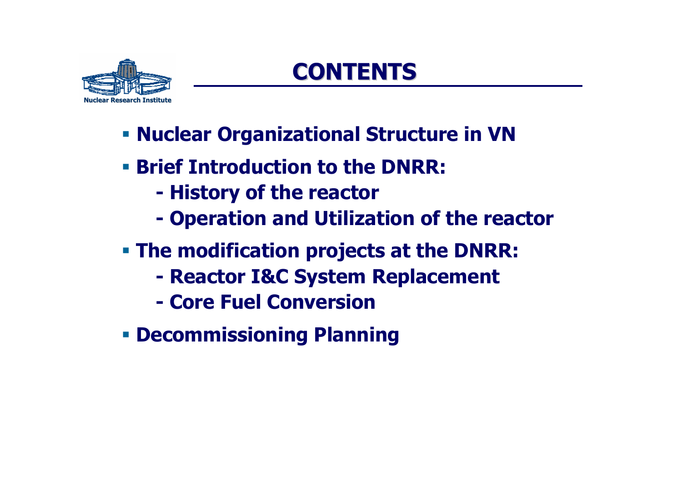

# **CONTENTS CONTENTS**

- **Nuclear Organizational Structure in VN**
- **Brief Introduction to the DNRR:**
	- **- History of the reactor**
	- **- Operation and Utilization of the reactor**
- **The modification projects at the DNRR:**
	- **- Reactor I&C System Replacement**
	- **- Core Fuel Conversion**
- **Decommissioning Planning**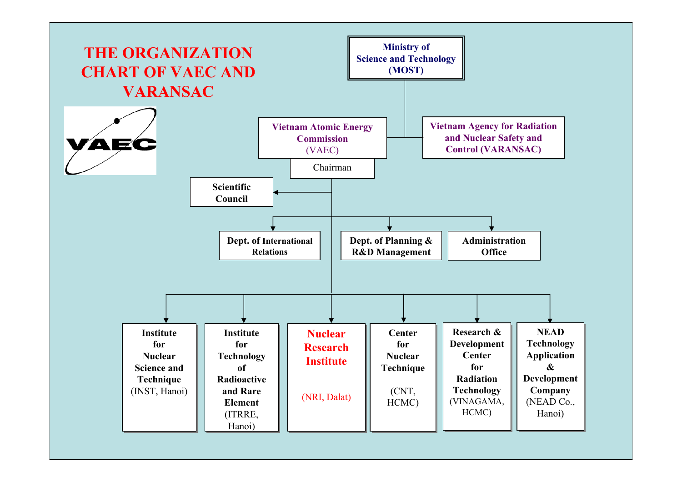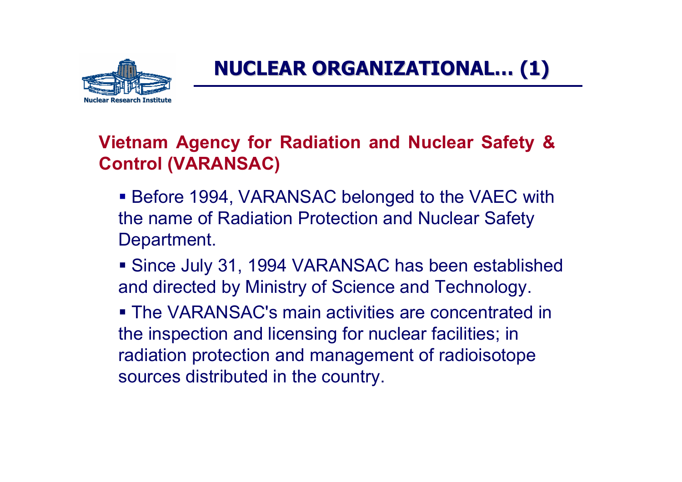

### **NUCLEAR ORGANIZATIONAL NUCLEAR ORGANIZATIONAL… (1)**

#### **Vietnam Agency for Radiation and Nuclear Safety & Control (VARANSAC)**

- Before 1994, VARANSAC belonged to the VAEC with the name of Radiation Protection and Nuclear Safety Department.
- Since July 31, 1994 VARANSAC has been established and directed by Ministry of Science and Technology.

 The VARANSAC's main activities are concentrated in the inspection and licensing for nuclear facilities; in radiation protection and management of radioisotope sources distributed in the country.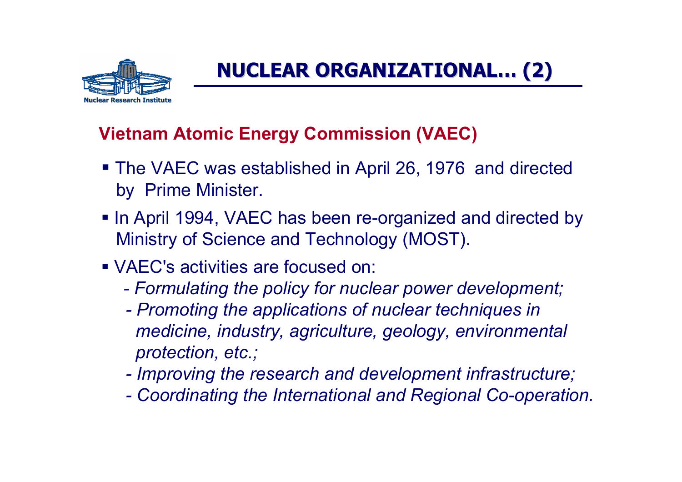

### **NUCLEAR ORGANIZATIONAL NUCLEAR ORGANIZATIONAL… (2)**

#### **Vietnam Atomic Energy Commission (VAEC)**

- The VAEC was established in April 26, 1976 and directed by Prime Minister.
- **In April 1994, VAEC has been re-organized and directed by** Ministry of Science and Technology (MOST).
- VAEC's activities are focused on:
	- *-Formulating the policy for nuclear power development;*
	- *- Promoting the applications of nuclear techniques in medicine, industry, agriculture, geology, environmental protection, etc.;*
	- *- Improving the research and development infrastructure;*
	- *- Coordinating the International and Regional Co-operation.*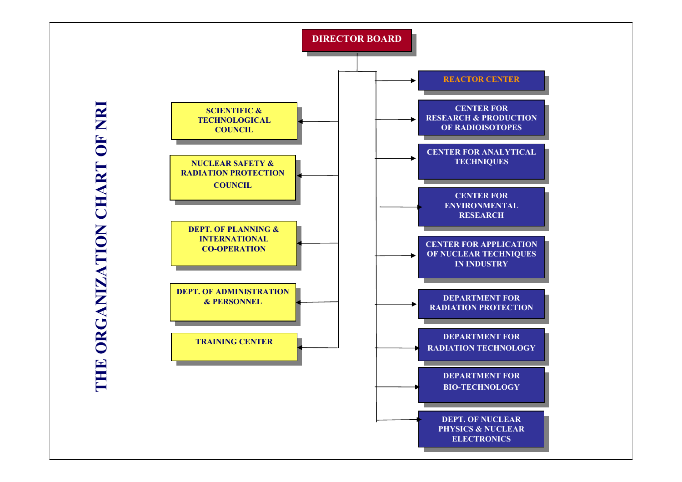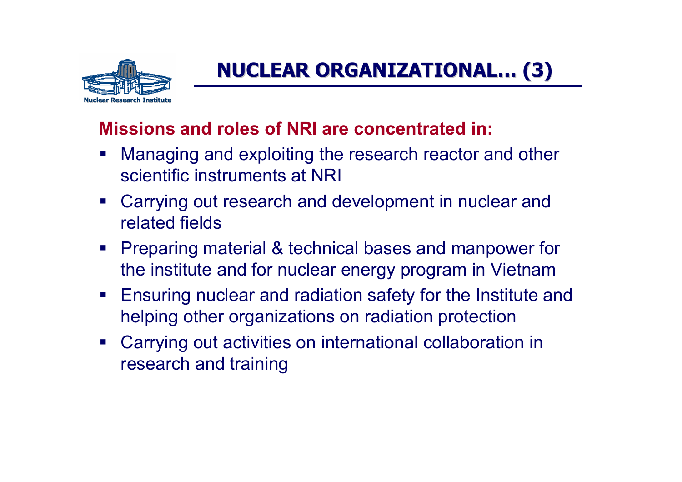

# **NUCLEAR ORGANIZATIONAL NUCLEAR ORGANIZATIONAL… (3)**

#### **Missions and roles of NRI are concentrated in:**

- Managing and exploiting the research reactor and other scientific instruments at NRI
- Carrying out research and development in nuclear and related fields
- **Preparing material & technical bases and manpower for** the institute and for nuclear energy program in Vietnam
- Ensuring nuclear and radiation safety for the Institute and helping other organizations on radiation protection
- Carrying out activities on international collaboration in research and training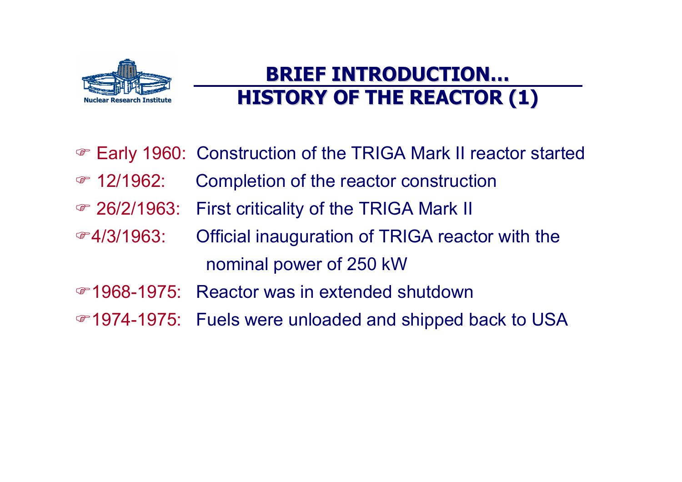

### **BRIEF INTRODUCTION BRIEF INTRODUCTION… HISTORY OF THE REACTOR (1) HISTORY OF THE REACTOR (1)**

- ) Early 1960: Construction of the TRIGA Mark II reactor started
- *T* 12/1962: Completion of the reactor construction
- ) 26/2/1963: First criticality of the TRIGA Mark II
- $\mathcal{F}$ 4/3/1963: Official inauguration of TRIGA reactor with the nominal power of 250 kW
- )1968-1975: Reactor was in extended shutdown
- )1974-1975: Fuels were unloaded and shipped back to USA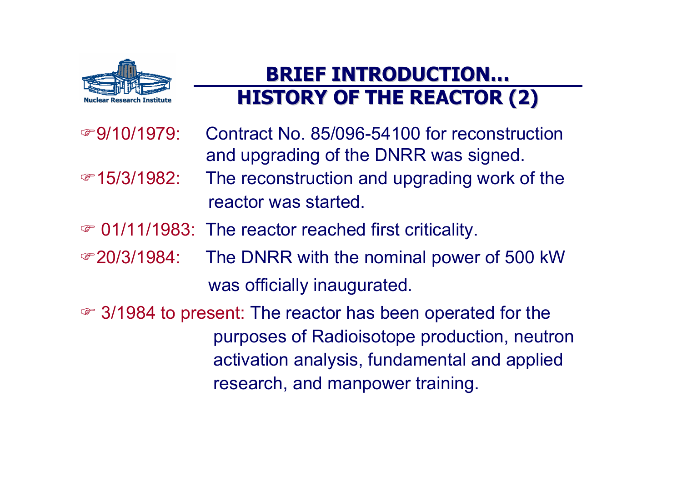

### **BRIEF INTRODUCTION BRIEF INTRODUCTION… HISTORY OF THE REACTOR (2)**

- $\circ$ 9/10/1979 Contract No. 85/096-54100 for reconstruction and upgrading of the DNRR was signed. ☞15/3/1982: The reconstruction and upgrading work of the reactor was started.
- $\in$  01/11/1983: The reactor reached first criticality.
- ◎20/3/1984: The DNRR with the nominal power of 500 kW was officially inaugurated.
- ) 3/1984 to present: The reactor has been operated for the purposes of Radioisotope production, neutron activation analysis, fundamental and applied research, and manpower training.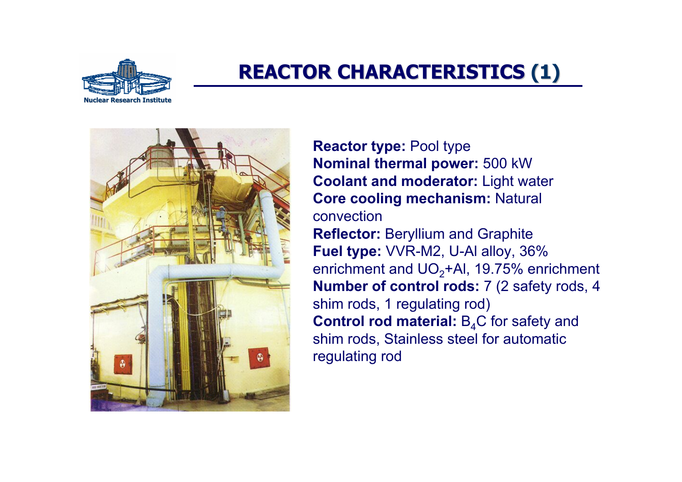

### **REACTOR CHARACTERISTICS REACTOR CHARACTERISTICS (1)**



**Reactor type:** Pool type **Nominal thermal power:** 500 kW **Coolant and moderator:** Light water **Core cooling mechanism:** Natural convection**Reflector:** Beryllium and Graphite **Fuel type:** VVR-M2, U-Al alloy, 36% enrichment and  $UO<sub>2</sub>+Al$ , 19.75% enrichment **Number of control rods:** 7 (2 safety rods, 4 shim rods, 1 regulating rod) **Control rod material:** B<sub>4</sub>C for safety and shim rods, Stainless steel for automatic regulating rod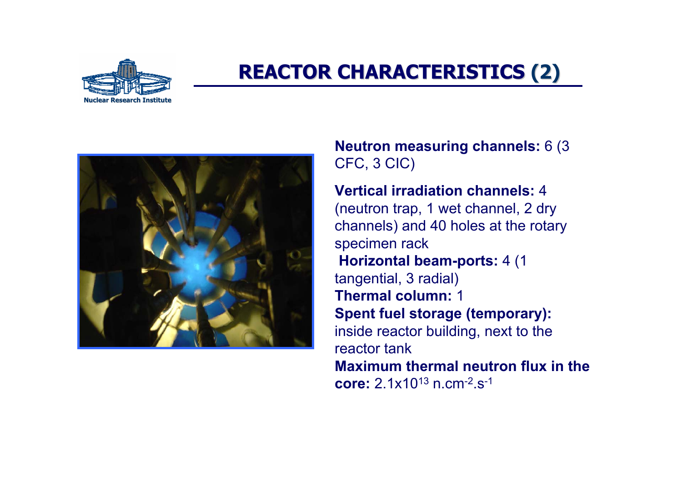

### **REACTOR CHARACTERISTICS REACTOR CHARACTERISTICS (2)**



**Neutron measuring channels:** 6 (3 CFC, 3 CIC)

**Vertical irradiation channels:** 4 (neutron trap, 1 wet channel, 2 dry channels) and 40 holes at the rotary specimen rack **Horizontal beam-ports:** 4 (1 tangential, 3 radial) **Thermal column:** 1**Spent fuel storage (temporary):**  inside reactor building, next to the reactor tank **Maximum thermal neutron flux in the core:** 2.1x1013 n.cm-2.s-1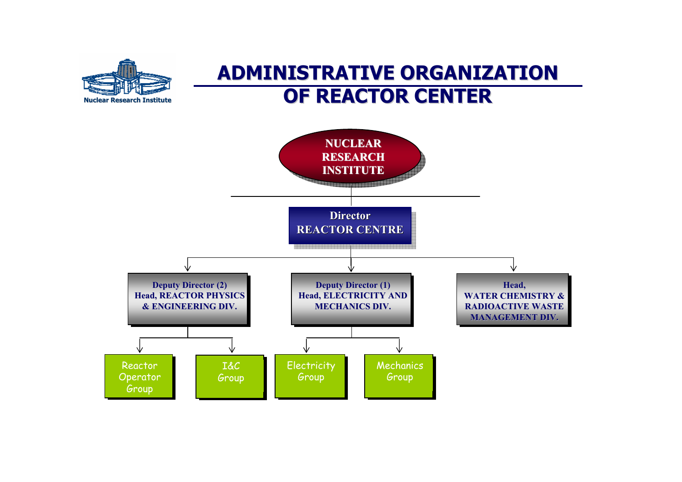

### **ADMINISTRATIVE ORGANIZATION ADMINISTRATIVE ORGANIZATION OF REACTOR CENTER OF REACTOR CENTER**

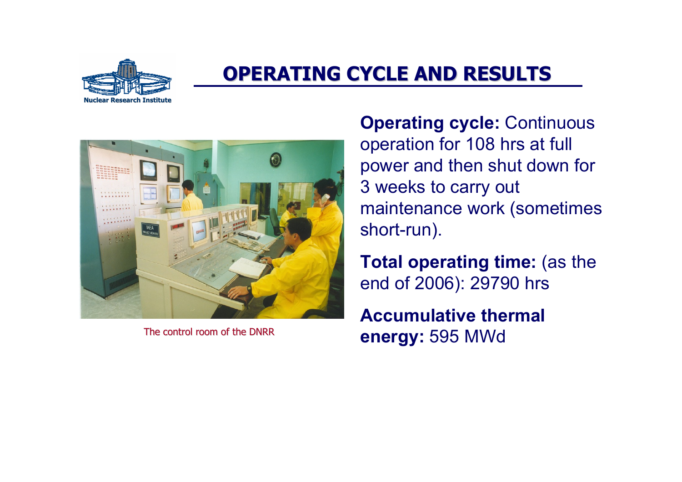

### **OPERATING OPERATING CYCLE AND CYCLE AND RESULTS RESULTS**



The control room of the DNRR

**Operating cycle:** Continuous operation for 108 hrs at full power and then shut down for 3 weeks to carry out maintenance work (sometimes short-run).

**Total operating time:** (as the end of 2006): 29790 hrs

**Accumulative thermal energy:** 595 MWd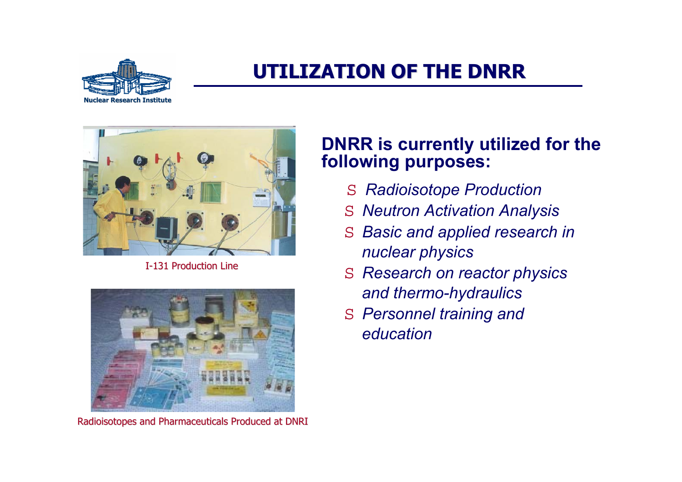

### **UTILIZATION OF THE DNRR UTILIZATION OF THE DNRR**



I-131 Production Line



Radioisotopes and Pharmaceuticals Produced at DNRI

#### **DNRR is currently utilized for the following purposes:**

- *Radioisotope Production*
- *Neutron Activation Analysis*
- $S$  *Basic and applied research in nuclear physics*
- *Research on reactor physics and thermo-hydraulics*
- *Personnel training and education*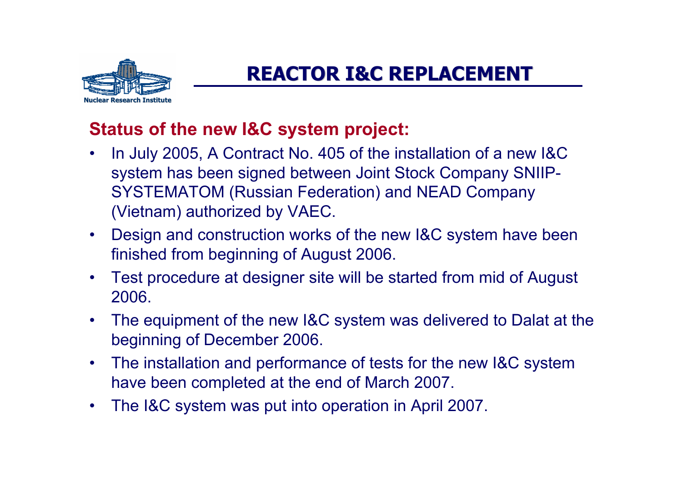

### **REACTOR I&C REPLACEMENT REACTOR I&C REPLACEMENT**

#### **Status of the new I&C system project:**

- • In July 2005, A Contract No. 405 of the installation of a new I&C system has been signed between Joint Stock Company SNIIP-SYSTEMATOM (Russian Federation) and NEAD Company (Vietnam) authorized by VAEC.
- • Design and construction works of the new I&C system have been finished from beginning of August 2006.
- • Test procedure at designer site will be started from mid of August 2006.
- • The equipment of the new I&C system was delivered to Dalat at the beginning of December 2006.
- $\bullet$  The installation and performance of tests for the new I&C system have been completed at the end of March 2007.
- •The I&C system was put into operation in April 2007.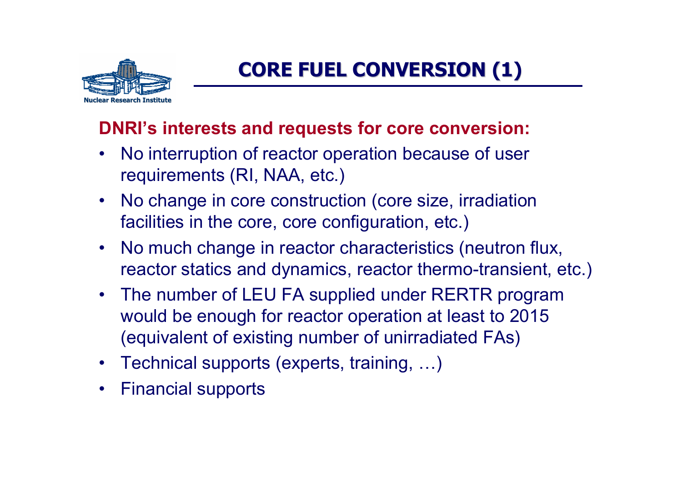

### **CORE FUEL CONVERSION (1)**

#### **DNRI's interests and requests for core conversion:**

- No interruption of reactor operation because of user requirements (RI, NAA, etc.)
- No change in core construction (core size, irradiation facilities in the core, core configuration, etc.)
- No much change in reactor characteristics (neutron flux, reactor statics and dynamics, reactor thermo-transient, etc.)
- The number of LEU FA supplied under RERTR program would be enough for reactor operation at least to 2015 (equivalent of existing number of unirradiated FAs)
- Technical supports (experts, training, …)
- Financial supports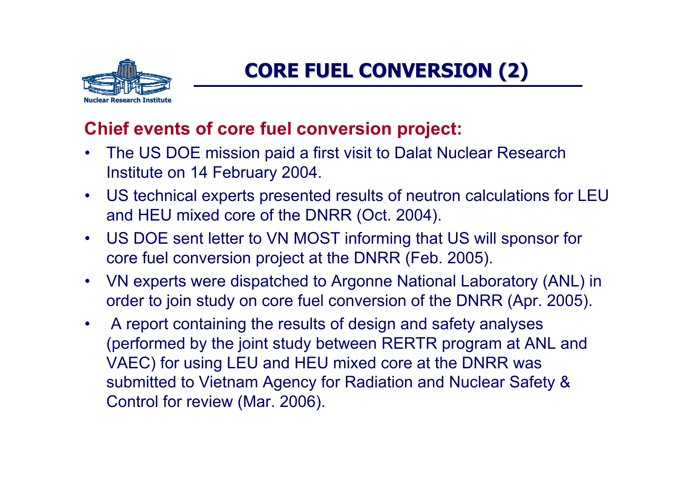

### **CORE FUEL CONVERSION (2)**

#### **Chief events of core fuel conversion project:**

- $\bullet$  The US DOE mission paid a first visit to Dalat Nuclear Research Institute on 14 February 2004.
- US technical experts presented results of neutron calculations for LEU and HEU mixed core of the DNRR (Oct. 2004).
- $\bullet$  US DOE sent letter to VN MOST informing that US will sponsor for core fuel conversion project at the DNRR (Feb. 2005).
- • VN experts were dispatched to Argonne National Laboratory (ANL) in order to join study on core fuel conversion of the DNRR (Apr. 2005).
- $\bullet$  A report containing the results of design and safety analyses (performed by the joint study between RERTR program at ANL and VAEC) for using LEU and HEU mixed core at the DNRR was submitted to Vietnam Agency for Radiation and Nuclear Safety & Control for review (Mar. 2006).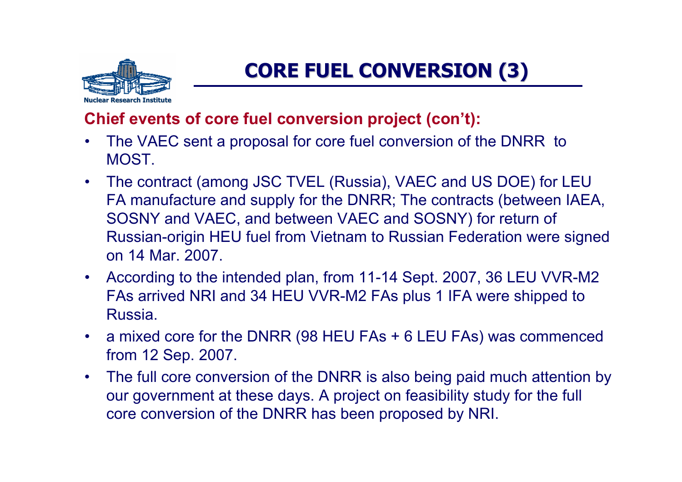

### **CORE FUEL CONVERSION CORE FUEL CONVERSION (3)**

#### **Chief events of core fuel conversion project (con't):**

- • The VAEC sent a proposal for core fuel conversion of the DNRR to MOST.
- • The contract (among JSC TVEL (Russia), VAEC and US DOE) for LEU FA manufacture and supply for the DNRR; The contracts (between IAEA, SOSNY and VAEC, and between VAEC and SOSNY) for return of Russian-origin HEU fuel from Vietnam to Russian Federation were signed on 14 Mar. 2007.
- According to the intended plan, from 11-14 Sept. 2007, 36 LEU VVR-M2 FAs arrived NRI and 34 HEU VVR-M2 FAs plus 1 IFA were shipped to Russia.
- <sup>a</sup> mixed core for the DNRR (98 HEU FAs + 6 LEU FAs) was commenced from 12 Sep. 2007.
- The full core conversion of the DNRR is also being paid much attention by our government at these days. A project on feasibility study for the full core conversion of the DNRR has been proposed by NRI.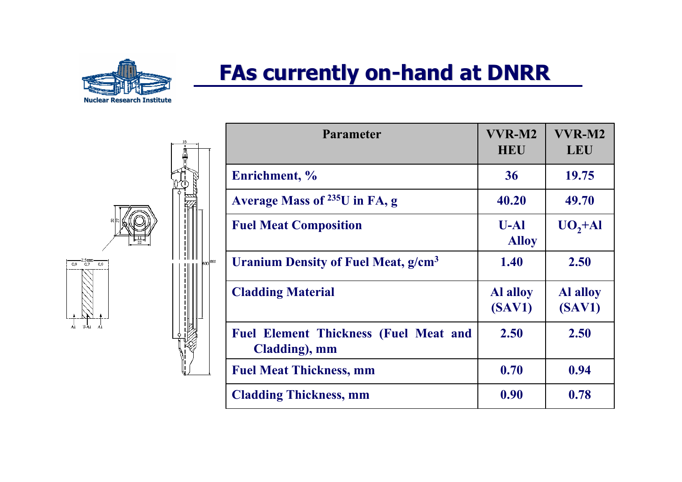

# **FAs currently on-hand at DNRR**

 $\frac{2,5 \text{ mm}}{0.9}$  $0.9$  $_{\rm{U-A1}}$ 

865ء

| <b>Parameter</b>                                              | VVR-M2<br><b>HEU</b>      | VVR-M2<br><b>LEU</b>      |
|---------------------------------------------------------------|---------------------------|---------------------------|
| Enrichment, %                                                 | 36                        | 19.75                     |
| Average Mass of $^{235}$ U in FA, g                           | 40.20                     | 49.70                     |
| <b>Fuel Meat Composition</b>                                  | $U-A1$<br><b>Alloy</b>    | UO, A                     |
| Uranium Density of Fuel Meat, g/cm <sup>3</sup>               | 1.40                      | 2.50                      |
| <b>Cladding Material</b>                                      | <b>Al alloy</b><br>(SAV1) | <b>Al alloy</b><br>(SAV1) |
| <b>Fuel Element Thickness (Fuel Meat and</b><br>Cladding), mm | 2.50                      | 2.50                      |
| <b>Fuel Meat Thickness, mm</b>                                | 0.70                      | 0.94                      |
| <b>Cladding Thickness, mm</b>                                 | 0.90                      | 0.78                      |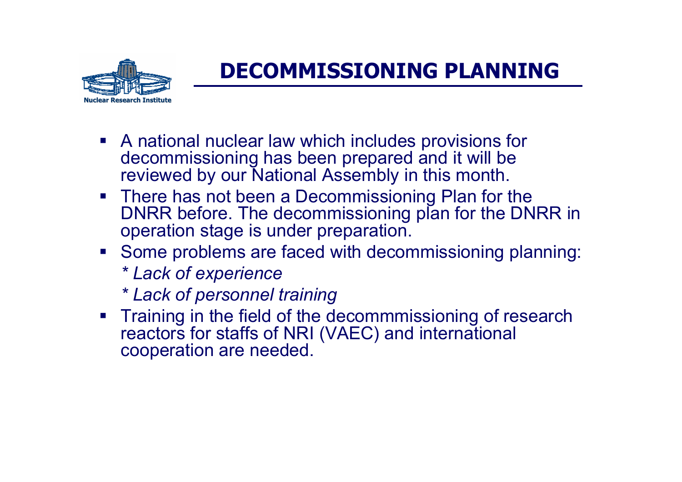

# **DECOMMISSIONING PLANNING**

- A national nuclear law which includes provisions for decommissioning has been prepared and it will be reviewed by our National Assembly in this month.
- **There has not been a Decommissioning Plan for the** DNRR before. The decommissioning plan for the DNRR in operation stage is under preparation.
- Some problems are faced with decommissioning planning: *\* Lack of experience*
	- *\* Lack of personnel training*
- **Training in the field of the decommmissioning of research** reactors for staffs of NRI (VAEC) and international cooperation are needed.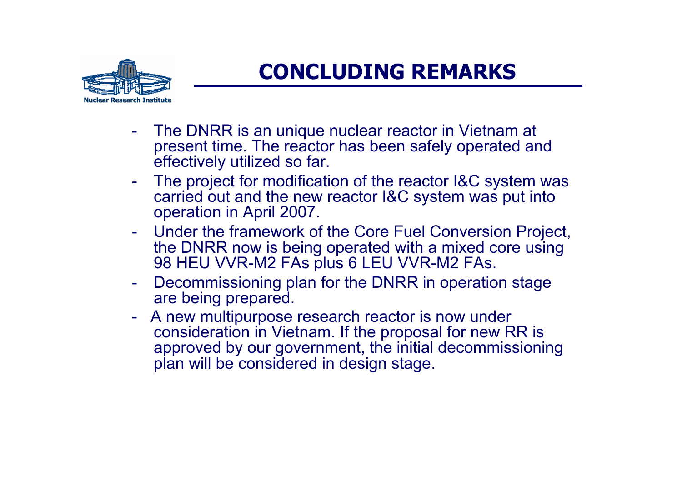

### **CONCLUDING REMARKS**

- - The DNRR is an unique nuclear reactor in Vietnam at present time. The reactor has been safely operated and effectively utilized so far.
- -The project for modification of the reactor I&C system was carried out and the new reactor I&C system was put into operation in April 2007.
- Under the framework of the Core Fuel Conversion Project, the DNRR now is being operated with a mixed core using 98 HEU VVR-M2 FAs plus 6 LEU VVR-M2 FAs.
- - Decommissioning plan for the DNRR in operation stage are being prepared.
- - A new multipurpose research reactor is now under consideration in Vietnam. If the proposal for new RR is approved by our government, the initial decommissioning plan will be considered in design stage.